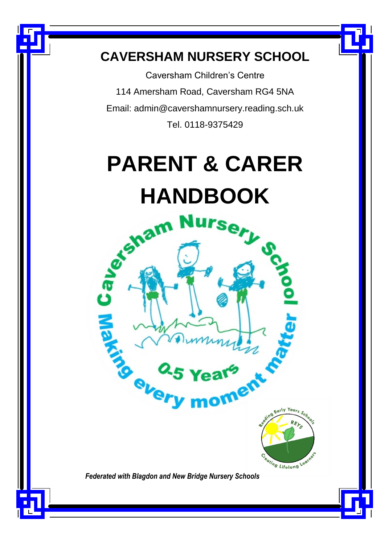# **CAVERSHAM NURSERY SCHOOL**

 $\overline{a}$ 

Caversham Children's Centre 114 Amersham Road, Caversham RG4 5NA Email: admin@cavershamnursery.reading.sch.uk Tel. 0118-9375429

# **PARENT & CARER** HANDBOOK<br>S<sup>haim</sup> Dursery of Sa

*Federated with Blagdon and New Bridge Nursery Schools*

Year  $-$ arly

eating Lifelong Leath

Caver

ANSI CON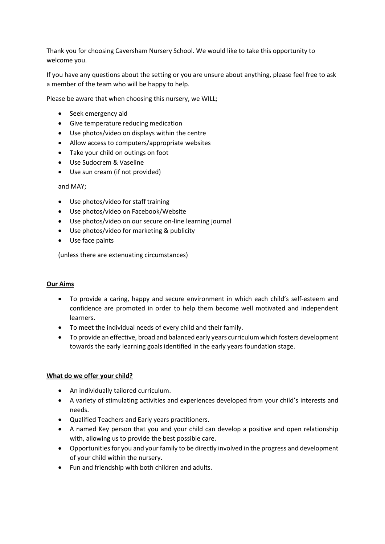Thank you for choosing Caversham Nursery School. We would like to take this opportunity to welcome you.

If you have any questions about the setting or you are unsure about anything, please feel free to ask a member of the team who will be happy to help.

Please be aware that when choosing this nursery, we WILL;

- Seek emergency aid
- Give temperature reducing medication
- Use photos/video on displays within the centre
- Allow access to computers/appropriate websites
- Take your child on outings on foot
- Use Sudocrem & Vaseline
- Use sun cream (if not provided)

#### and MAY;

- Use photos/video for staff training
- Use photos/video on Facebook/Website
- Use photos/video on our secure on-line learning journal
- Use photos/video for marketing & publicity
- Use face paints

(unless there are extenuating circumstances)

#### **Our Aims**

- To provide a caring, happy and secure environment in which each child's self-esteem and confidence are promoted in order to help them become well motivated and independent learners.
- To meet the individual needs of every child and their family.
- To provide an effective, broad and balanced early years curriculum which fosters development towards the early learning goals identified in the early years foundation stage.

#### **What do we offer your child?**

- An individually tailored curriculum.
- A variety of stimulating activities and experiences developed from your child's interests and needs.
- Qualified Teachers and Early years practitioners.
- A named Key person that you and your child can develop a positive and open relationship with, allowing us to provide the best possible care.
- Opportunities for you and your family to be directly involved in the progress and development of your child within the nursery.
- Fun and friendship with both children and adults.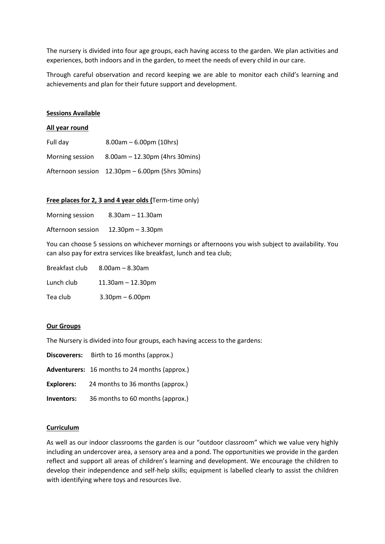The nursery is divided into four age groups, each having access to the garden. We plan activities and experiences, both indoors and in the garden, to meet the needs of every child in our care.

Through careful observation and record keeping we are able to monitor each child's learning and achievements and plan for their future support and development.

#### **Sessions Available**

#### **All year round**

| Full day        | $8.00am - 6.00pm(10hrs)$                         |
|-----------------|--------------------------------------------------|
| Morning session | $8.00$ am – 12.30pm (4hrs 30mins)                |
|                 | Afternoon session 12.30pm – 6.00pm (5hrs 30mins) |

#### **Free places for 2, 3 and 4 year olds (**Term-time only)

| $8.30$ am $-11.30$ am |
|-----------------------|
|                       |

Afternoon session 12.30pm – 3.30pm

You can choose 5 sessions on whichever mornings or afternoons you wish subject to availability. You can also pay for extra services like breakfast, lunch and tea club;

| Breakfast club | $8.00$ am – $8.30$ am   |
|----------------|-------------------------|
| Lunch club     | $11.30$ am $- 12.30$ pm |
| Tea club       | $3.30$ pm $- 6.00$ pm   |

#### **Our Groups**

The Nursery is divided into four groups, each having access to the gardens:

| Birth to 16 months (approx.)<br><b>Discoverers:</b> |  |
|-----------------------------------------------------|--|
|-----------------------------------------------------|--|

- **Adventurers:** 16 months to 24 months (approx.)
- **Explorers:** 24 months to 36 months (approx.)
- **Inventors:** 36 months to 60 months (approx.)

#### **Curriculum**

As well as our indoor classrooms the garden is our "outdoor classroom" which we value very highly including an undercover area, a sensory area and a pond. The opportunities we provide in the garden reflect and support all areas of children's learning and development. We encourage the children to develop their independence and self-help skills; equipment is labelled clearly to assist the children with identifying where toys and resources live.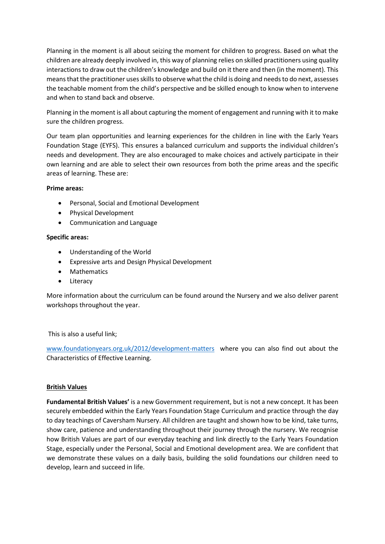Planning in the moment is all about seizing the moment for children to progress. Based on what the children are already deeply involved in, this way of planning relies on skilled practitioners using quality interactions to draw out the children's knowledge and build on it there and then (in the moment). This means that the practitioner uses skills to observe what the child is doing and needs to do next, assesses the teachable moment from the child's perspective and be skilled enough to know when to intervene and when to stand back and observe.

Planning in the moment is all about capturing the moment of engagement and running with it to make sure the children progress.

Our team plan opportunities and learning experiences for the children in line with the Early Years Foundation Stage (EYFS). This ensures a balanced curriculum and supports the individual children's needs and development. They are also encouraged to make choices and actively participate in their own learning and are able to select their own resources from both the prime areas and the specific areas of learning. These are:

#### **Prime areas:**

- Personal, Social and Emotional Development
- Physical Development
- Communication and Language

#### **Specific areas:**

- Understanding of the World
- Expressive arts and Design Physical Development
- Mathematics
- **•** Literacy

More information about the curriculum can be found around the Nursery and we also deliver parent workshops throughout the year.

# This is also a useful link;

[www.foundationyears.org.uk/2012/development-matters](http://www.foundationyears.org.uk/2012/development-matters) where you can also find out about the Characteristics of Effective Learning.

# **British Values**

**Fundamental British Values'** is a new Government requirement, but is not a new concept. It has been securely embedded within the Early Years Foundation Stage Curriculum and practice through the day to day teachings of Caversham Nursery. All children are taught and shown how to be kind, take turns, show care, patience and understanding throughout their journey through the nursery. We recognise how British Values are part of our everyday teaching and link directly to the Early Years Foundation Stage, especially under the Personal, Social and Emotional development area. We are confident that we demonstrate these values on a daily basis, building the solid foundations our children need to develop, learn and succeed in life.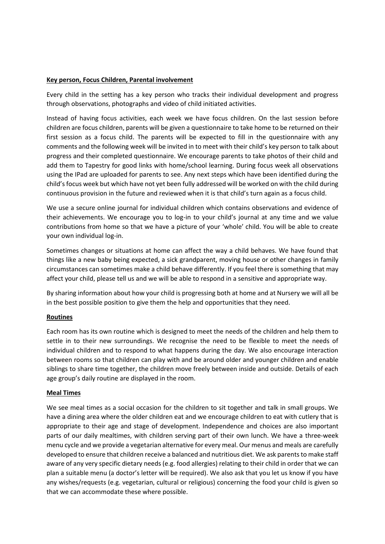#### **Key person, Focus Children, Parental involvement**

Every child in the setting has a key person who tracks their individual development and progress through observations, photographs and video of child initiated activities.

Instead of having focus activities, each week we have focus children. On the last session before children are focus children, parents will be given a questionnaire to take home to be returned on their first session as a focus child. The parents will be expected to fill in the questionnaire with any comments and the following week will be invited in to meet with their child's key person to talk about progress and their completed questionnaire. We encourage parents to take photos of their child and add them to Tapestry for good links with home/school learning. During focus week all observations using the IPad are uploaded for parents to see. Any next steps which have been identified during the child's focus week but which have not yet been fully addressed will be worked on with the child during continuous provision in the future and reviewed when it is that child's turn again as a focus child.

We use a secure online journal for individual children which contains observations and evidence of their achievements. We encourage you to log-in to your child's journal at any time and we value contributions from home so that we have a picture of your 'whole' child. You will be able to create your own individual log-in.

Sometimes changes or situations at home can affect the way a child behaves. We have found that things like a new baby being expected, a sick grandparent, moving house or other changes in family circumstances can sometimes make a child behave differently. If you feel there is something that may affect your child, please tell us and we will be able to respond in a sensitive and appropriate way.

By sharing information about how your child is progressing both at home and at Nursery we will all be in the best possible position to give them the help and opportunities that they need.

# **Routines**

Each room has its own routine which is designed to meet the needs of the children and help them to settle in to their new surroundings. We recognise the need to be flexible to meet the needs of individual children and to respond to what happens during the day. We also encourage interaction between rooms so that children can play with and be around older and younger children and enable siblings to share time together, the children move freely between inside and outside. Details of each age group's daily routine are displayed in the room.

#### **Meal Times**

We see meal times as a social occasion for the children to sit together and talk in small groups. We have a dining area where the older children eat and we encourage children to eat with cutlery that is appropriate to their age and stage of development. Independence and choices are also important parts of our daily mealtimes, with children serving part of their own lunch. We have a three-week menu cycle and we provide a vegetarian alternative for every meal. Our menus and meals are carefully developed to ensure that children receive a balanced and nutritious diet. We ask parents to make staff aware of any very specific dietary needs (e.g. food allergies) relating to their child in order that we can plan a suitable menu (a doctor's letter will be required). We also ask that you let us know if you have any wishes/requests (e.g. vegetarian, cultural or religious) concerning the food your child is given so that we can accommodate these where possible.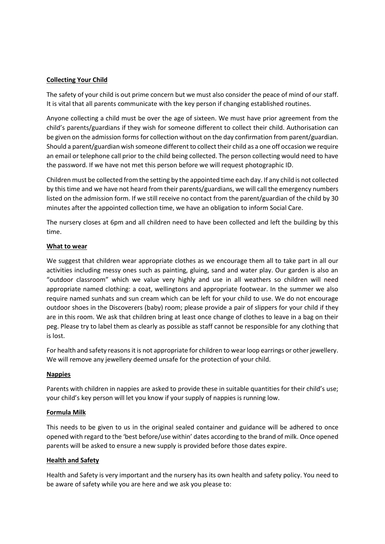#### **Collecting Your Child**

The safety of your child is out prime concern but we must also consider the peace of mind of our staff. It is vital that all parents communicate with the key person if changing established routines.

Anyone collecting a child must be over the age of sixteen. We must have prior agreement from the child's parents/guardians if they wish for someone different to collect their child. Authorisation can be given on the admission forms for collection without on the day confirmation from parent/guardian. Should a parent/guardian wish someone different to collect their child as a one off occasion we require an email or telephone call prior to the child being collected. The person collecting would need to have the password. If we have not met this person before we will request photographic ID.

Children must be collected from the setting by the appointed time each day. If any child is not collected by this time and we have not heard from their parents/guardians, we will call the emergency numbers listed on the admission form. If we still receive no contact from the parent/guardian of the child by 30 minutes after the appointed collection time, we have an obligation to inform Social Care.

The nursery closes at 6pm and all children need to have been collected and left the building by this time.

#### **What to wear**

We suggest that children wear appropriate clothes as we encourage them all to take part in all our activities including messy ones such as painting, gluing, sand and water play. Our garden is also an "outdoor classroom" which we value very highly and use in all weathers so children will need appropriate named clothing: a coat, wellingtons and appropriate footwear. In the summer we also require named sunhats and sun cream which can be left for your child to use. We do not encourage outdoor shoes in the Discoverers (baby) room; please provide a pair of slippers for your child if they are in this room. We ask that children bring at least once change of clothes to leave in a bag on their peg. Please try to label them as clearly as possible as staff cannot be responsible for any clothing that is lost.

For health and safety reasons it is not appropriate for children to wear loop earrings or other jewellery. We will remove any jewellery deemed unsafe for the protection of your child.

#### **Nappies**

Parents with children in nappies are asked to provide these in suitable quantities for their child's use; your child's key person will let you know if your supply of nappies is running low.

#### **Formula Milk**

This needs to be given to us in the original sealed container and guidance will be adhered to once opened with regard to the 'best before/use within' dates according to the brand of milk. Once opened parents will be asked to ensure a new supply is provided before those dates expire.

#### **Health and Safety**

Health and Safety is very important and the nursery has its own health and safety policy. You need to be aware of safety while you are here and we ask you please to: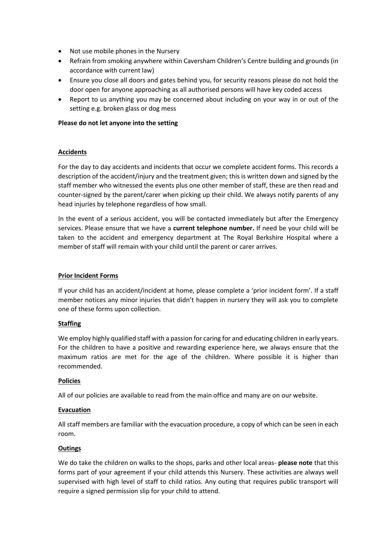- Not use mobile phones in the Nursery
- Refrain from smoking anywhere within Caversham Children's Centre building and grounds (in accordance with current law)
- Ensure you close all doors and gates behind you, for security reasons please do not hold the door open for anyone approaching as all authorised persons will have key coded access
- Report to us anything you may be concerned about including on your way in or out of the setting e.g. broken glass or dog mess

#### **Please do not let anyone into the setting**

# **Accidents**

For the day to day accidents and incidents that occur we complete accident forms. This records a description of the accident/injury and the treatment given; this is written down and signed by the staff member who witnessed the events plus one other member of staff, these are then read and counter-signed by the parent/carer when picking up their child. We always notify parents of any head injuries by telephone regardless of how small.

In the event of a serious accident, you will be contacted immediately but after the Emergency services. Please ensure that we have a **current telephone number.** If need be your child will be taken to the accident and emergency department at The Royal Berkshire Hospital where a member of staff will remain with your child until the parent or carer arrives.

#### **Prior Incident Forms**

If your child has an accident/incident at home, please complete a 'prior incident form'. If a staff member notices any minor injuries that didn't happen in nursery they will ask you to complete one of these forms upon collection.

# **Staffing**

We employ highly qualified staff with a passion for caring for and educating children in early years. For the children to have a positive and rewarding experience here, we always ensure that the maximum ratios are met for the age of the children. Where possible it is higher than recommended.

#### **Policies**

All of our policies are available to read from the main office and many are on our website.

#### **Evacuation**

All staff members are familiar with the evacuation procedure, a copy of which can be seen in each room.

# **Outings**

We do take the children on walks to the shops, parks and other local areas- **please note** that this forms part of your agreement if your child attends this Nursery. These activities are always well supervised with high level of staff to child ratios. Any outing that requires public transport will require a signed permission slip for your child to attend.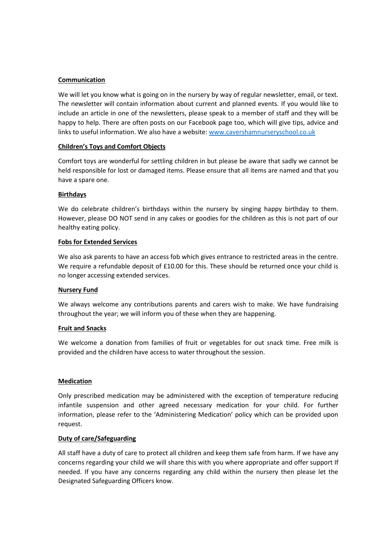#### **Communication**

We will let you know what is going on in the nursery by way of regular newsletter, email, or text. The newsletter will contain information about current and planned events. If you would like to include an article in one of the newsletters, please speak to a member of staff and they will be happy to help. There are often posts on our Facebook page too, which will give tips, advice and links to useful information. We also have a website: [www.cavershamnurseryschool.co.uk](http://www.cavershamnurseryschool.co.uk/)

#### **Children's Toys and Comfort Objects**

Comfort toys are wonderful for settling children in but please be aware that sadly we cannot be held responsible for lost or damaged items. Please ensure that all items are named and that you have a spare one.

#### **Birthdays**

We do celebrate children's birthdays within the nursery by singing happy birthday to them. However, please DO NOT send in any cakes or goodies for the children as this is not part of our healthy eating policy.

#### **Fobs for Extended Services**

We also ask parents to have an access fob which gives entrance to restricted areas in the centre. We require a refundable deposit of £10.00 for this. These should be returned once your child is no longer accessing extended services.

#### **Nursery Fund**

We always welcome any contributions parents and carers wish to make. We have fundraising throughout the year; we will inform you of these when they are happening.

#### **Fruit and Snacks**

We welcome a donation from families of fruit or vegetables for out snack time. Free milk is provided and the children have access to water throughout the session.

#### **Medication**

Only prescribed medication may be administered with the exception of temperature reducing infantile suspension and other agreed necessary medication for your child. For further information, please refer to the 'Administering Medication' policy which can be provided upon request.

#### **Duty of care/Safeguarding**

All staff have a duty of care to protect all children and keep them safe from harm. If we have any concerns regarding your child we will share this with you where appropriate and offer support If needed. If you have any concerns regarding any child within the nursery then please let the Designated Safeguarding Officers know.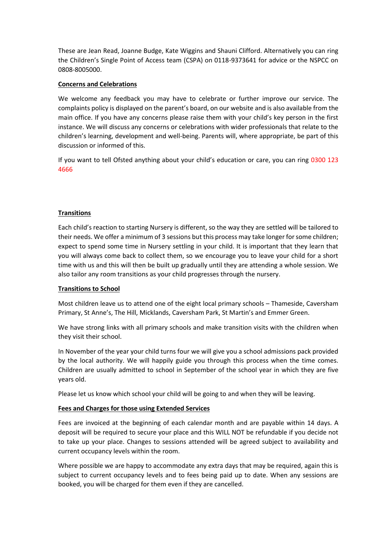These are Jean Read, Joanne Budge, Kate Wiggins and Shauni Clifford. Alternatively you can ring the Children's Single Point of Access team (CSPA) on 0118-9373641 for advice or the NSPCC on 0808-8005000.

#### **Concerns and Celebrations**

We welcome any feedback you may have to celebrate or further improve our service. The complaints policy is displayed on the parent's board, on our website and is also available from the main office. If you have any concerns please raise them with your child's key person in the first instance. We will discuss any concerns or celebrations with wider professionals that relate to the children's learning, development and well-being. Parents will, where appropriate, be part of this discussion or informed of this.

If you want to tell Ofsted anything about your child's education or care, you can ring 0300 123 4666

#### **Transitions**

Each child's reaction to starting Nursery is different, so the way they are settled will be tailored to their needs. We offer a minimum of 3 sessions but this process may take longer for some children; expect to spend some time in Nursery settling in your child. It is important that they learn that you will always come back to collect them, so we encourage you to leave your child for a short time with us and this will then be built up gradually until they are attending a whole session. We also tailor any room transitions as your child progresses through the nursery.

#### **Transitions to School**

Most children leave us to attend one of the eight local primary schools – Thameside, Caversham Primary, St Anne's, The Hill, Micklands, Caversham Park, St Martin's and Emmer Green.

We have strong links with all primary schools and make transition visits with the children when they visit their school.

In November of the year your child turns four we will give you a school admissions pack provided by the local authority. We will happily guide you through this process when the time comes. Children are usually admitted to school in September of the school year in which they are five years old.

Please let us know which school your child will be going to and when they will be leaving.

#### **Fees and Charges for those using Extended Services**

Fees are invoiced at the beginning of each calendar month and are payable within 14 days. A deposit will be required to secure your place and this WILL NOT be refundable if you decide not to take up your place. Changes to sessions attended will be agreed subject to availability and current occupancy levels within the room.

Where possible we are happy to accommodate any extra days that may be required, again this is subject to current occupancy levels and to fees being paid up to date. When any sessions are booked, you will be charged for them even if they are cancelled.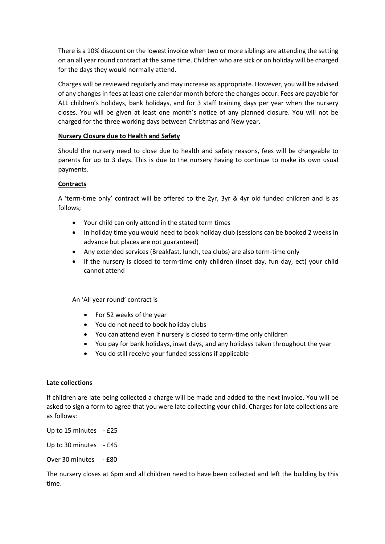There is a 10% discount on the lowest invoice when two or more siblings are attending the setting on an all year round contract at the same time. Children who are sick or on holiday will be charged for the days they would normally attend.

Charges will be reviewed regularly and may increase as appropriate. However, you will be advised of any changes in fees at least one calendar month before the changes occur. Fees are payable for ALL children's holidays, bank holidays, and for 3 staff training days per year when the nursery closes. You will be given at least one month's notice of any planned closure. You will not be charged for the three working days between Christmas and New year.

#### **Nursery Closure due to Health and Safety**

Should the nursery need to close due to health and safety reasons, fees will be chargeable to parents for up to 3 days. This is due to the nursery having to continue to make its own usual payments.

#### **Contracts**

A 'term-time only' contract will be offered to the 2yr, 3yr & 4yr old funded children and is as follows;

- Your child can only attend in the stated term times
- In holiday time you would need to book holiday club (sessions can be booked 2 weeks in advance but places are not guaranteed)
- Any extended services (Breakfast, lunch, tea clubs) are also term-time only
- If the nursery is closed to term-time only children (inset day, fun day, ect) your child cannot attend

An 'All year round' contract is

- For 52 weeks of the year
- You do not need to book holiday clubs
- You can attend even if nursery is closed to term-time only children
- You pay for bank holidays, inset days, and any holidays taken throughout the year
- You do still receive your funded sessions if applicable

# **Late collections**

If children are late being collected a charge will be made and added to the next invoice. You will be asked to sign a form to agree that you were late collecting your child. Charges for late collections are as follows:

Up to 15 minutes - £25 Up to 30 minutes - £45 Over 30 minutes - £80

The nursery closes at 6pm and all children need to have been collected and left the building by this time.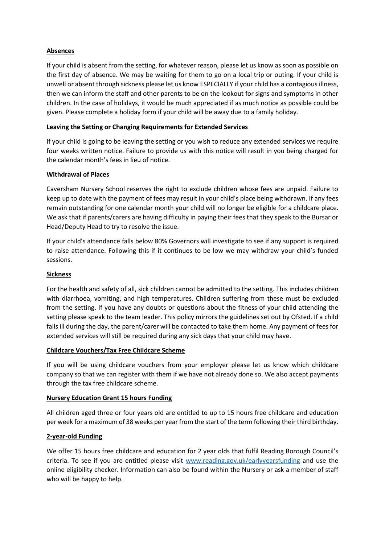# **Absences**

If your child is absent from the setting, for whatever reason, please let us know as soon as possible on the first day of absence. We may be waiting for them to go on a local trip or outing. If your child is unwell or absent through sickness please let us know ESPECIALLY if your child has a contagious illness, then we can inform the staff and other parents to be on the lookout for signs and symptoms in other children. In the case of holidays, it would be much appreciated if as much notice as possible could be given. Please complete a holiday form if your child will be away due to a family holiday.

# **Leaving the Setting or Changing Requirements for Extended Services**

If your child is going to be leaving the setting or you wish to reduce any extended services we require four weeks written notice. Failure to provide us with this notice will result in you being charged for the calendar month's fees in lieu of notice.

#### **Withdrawal of Places**

Caversham Nursery School reserves the right to exclude children whose fees are unpaid. Failure to keep up to date with the payment of fees may result in your child's place being withdrawn. If any fees remain outstanding for one calendar month your child will no longer be eligible for a childcare place. We ask that if parents/carers are having difficulty in paying their fees that they speak to the Bursar or Head/Deputy Head to try to resolve the issue.

If your child's attendance falls below 80% Governors will investigate to see if any support is required to raise attendance. Following this if it continues to be low we may withdraw your child's funded sessions.

#### **Sickness**

For the health and safety of all, sick children cannot be admitted to the setting. This includes children with diarrhoea, vomiting, and high temperatures. Children suffering from these must be excluded from the setting. If you have any doubts or questions about the fitness of your child attending the setting please speak to the team leader. This policy mirrors the guidelines set out by Ofsted. If a child falls ill during the day, the parent/carer will be contacted to take them home. Any payment of fees for extended services will still be required during any sick days that your child may have.

# **Childcare Vouchers/Tax Free Childcare Scheme**

If you will be using childcare vouchers from your employer please let us know which childcare company so that we can register with them if we have not already done so. We also accept payments through the tax free childcare scheme.

#### **Nursery Education Grant 15 hours Funding**

All children aged three or four years old are entitled to up to 15 hours free childcare and education per week for a maximum of 38 weeks per year from the start of the term following their third birthday.

# **2-year-old Funding**

We offer 15 hours free childcare and education for 2 year olds that fulfil Reading Borough Council's criteria. To see if you are entitled please visit [www.reading.gov.uk/earlyyearsfunding](http://www.reading.gov.uk/earlyyearsfunding) and use the online eligibility checker. Information can also be found within the Nursery or ask a member of staff who will be happy to help.